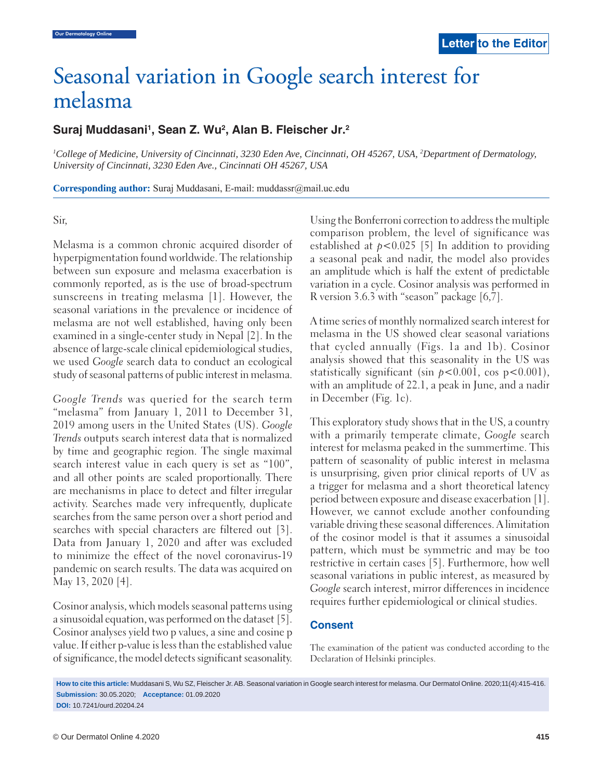# Seasonal variation in Google search interest for melasma

# melasma **Suraj Muddasani1 , Sean Z. Wu2 , Alan B. Fleischer Jr.2**

*1 College of Medicine, University of Cincinnati, 3230 Eden Ave, Cincinnati, OH 45267, USA, 2 Department of Dermatology, University of Cincinnati, 3230 Eden Ave., Cincinnati OH 45267, USA*

**Corresponding author:** Suraj Muddasani, E-mail: muddassr@mail.uc.edu

#### Sir,

Melasma is a common chronic acquired disorder of hyperpigmentation found worldwide. The relationship between sun exposure and melasma exacerbation is commonly reported, as is the use of broad-spectrum sunscreens in treating melasma [1]. However, the seasonal variations in the prevalence or incidence of melasma are not well established, having only been examined in a single-center study in Nepal [2]. In the absence of large-scale clinical epidemiological studies, we used *Google* search data to conduct an ecological study of seasonal patterns of public interest in melasma.

*Google Trends* was queried for the search term "melasma" from January 1, 2011 to December 31, 2019 among users in the United States (US). *Google Trends* outputs search interest data that is normalized by time and geographic region. The single maximal search interest value in each query is set as "100", and all other points are scaled proportionally. There are mechanisms in place to detect and filter irregular activity. Searches made very infrequently, duplicate searches from the same person over a short period and searches with special characters are filtered out [3]. Data from January 1, 2020 and after was excluded to minimize the effect of the novel coronavirus-19 pandemic on search results. The data was acquired on May 13, 2020 [4].

Cosinor analysis, which models seasonal patterns using a sinusoidal equation, was performed on the dataset [5]. Cosinor analyses yield two p values, a sine and cosine p value. If either p-value is less than the established value of significance, the model detects significant seasonality. Using the Bonferroni correction to address the multiple comparison problem, the level of significance was established at  $p < 0.025$  [5] In addition to providing a seasonal peak and nadir, the model also provides an amplitude which is half the extent of predictable variation in a cycle. Cosinor analysis was performed in R version 3.6.3 with "season" package [6,7].

A time series of monthly normalized search interest for melasma in the US showed clear seasonal variations that cycled annually (Figs. 1a and 1b). Cosinor analysis showed that this seasonality in the US was statistically significant (sin *p*<0.001, cos p<0.001), with an amplitude of 22.1, a peak in June, and a nadir in December (Fig. 1c).

 This exploratory study shows that in the US, a country with a primarily temperate climate, *Google* search interest for melasma peaked in the summertime. This pattern of seasonality of public interest in melasma is unsurprising, given prior clinical reports of UV as a trigger for melasma and a short theoretical latency period between exposure and disease exacerbation [1]. However, we cannot exclude another confounding variable driving these seasonal differences. A limitation of the cosinor model is that it assumes a sinusoidal pattern, which must be symmetric and may be too restrictive in certain cases [5]. Furthermore, how well seasonal variations in public interest, as measured by *Google* search interest, mirror differences in incidence requires further epidemiological or clinical studies.

### **Consent**

The examination of the patient was conducted according to the Declaration of Helsinki principles.

**How to cite this article:** Muddasani S, Wu SZ, Fleischer Jr. AB. Seasonal variation in Google search interest for melasma. Our Dermatol Online. 2020;11(4):415-416. **Submission:** 30.05.2020; **Acceptance:** 01.09.2020

**DOI:** 10.7241/ourd.20204.24